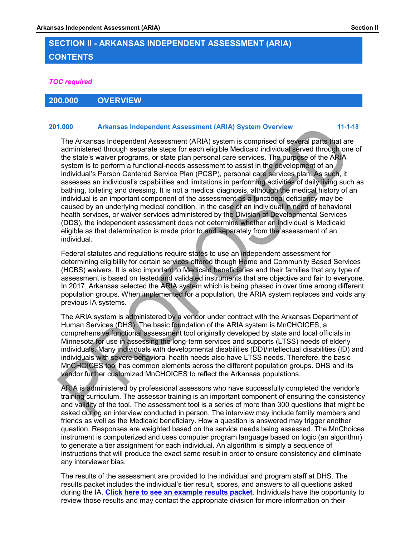# **SECTION II - ARKANSAS INDEPENDENT ASSESSMENT (ARIA) CONTENTS**

### *TOC required*

### **200.000 OVERVIEW**

### **201.000 Arkansas Independent Assessment (ARIA) System Overview 11-1-18**

The Arkansas Independent Assessment (ARIA) system is comprised of several parts that are administered through separate steps for each eligible Medicaid individual served through one of the state's waiver programs, or state plan personal care services. The purpose of the ARIA system is to perform a functional-needs assessment to assist in the development of an individual's Person Centered Service Plan (PCSP), personal care services plan. As such, it assesses an individual's capabilities and limitations in performing activities of daily living such as bathing, toileting and dressing. It is not a medical diagnosis, although the medical history of an individual is an important component of the assessment as a functional deficiency may be caused by an underlying medical condition. In the case of an individual in need of behavioral health services, or waiver services administered by the Division of Developmental Services (DDS), the independent assessment does not determine whether an individual is Medicaid eligible as that determination is made prior to and separately from the assessment of an individual.

Federal statutes and regulations require states to use an independent assessment for determining eligibility for certain services offered though Home and Community Based Services (HCBS) waivers. It is also important to Medicaid beneficiaries and their families that any type of assessment is based on tested and validated instruments that are objective and fair to everyone. In 2017, Arkansas selected the ARIA system which is being phased in over time among different population groups. When implemented for a population, the ARIA system replaces and voids any previous IA systems.

The ARIA system is administered by a vendor under contract with the Arkansas Department of Human Services (DHS). The basic foundation of the ARIA system is MnCHOICES, a comprehensive functional assessment tool originally developed by state and local officials in Minnesota for use in assessing the long-term services and supports (LTSS) needs of elderly individuals. Many individuals with developmental disabilities (DD)/intellectual disabilities (ID) and individuals with severe behavioral health needs also have LTSS needs. Therefore, the basic MnCHOICES tool has common elements across the different population groups. DHS and its vendor further customized MnCHOICES to reflect the Arkansas populations.

ARIA is administered by professional assessors who have successfully completed the vendor's training curriculum. The assessor training is an important component of ensuring the consistency and validity of the tool. The assessment tool is a series of more than 300 questions that might be asked during an interview conducted in person. The interview may include family members and friends as well as the Medicaid beneficiary. How a question is answered may trigger another question. Responses are weighted based on the service needs being assessed. The MnChoices instrument is computerized and uses computer program language based on logic (an algorithm) to generate a tier assignment for each individual. An algorithm is simply a sequence of instructions that will produce the exact same result in order to ensure consistency and eliminate any interviewer bias.

The results of the assessment are provided to the individual and program staff at DHS. The results packet includes the individual's tier result, scores, and answers to all questions asked during the IA. **[Click here to see an example results packet](https://ar-ia.force.com/providerportal/servlet/servlet.FileDownload?file=00P46000004MGHfEAO&isdtp=p1&retURL=%2Fproviderportal%2Fapex%2FSideBar%3Fisdtp%3Dp1)**. Individuals have the opportunity to review those results and may contact the appropriate division for more information on their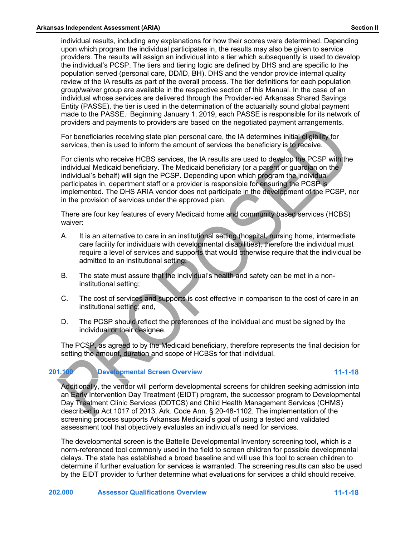individual results, including any explanations for how their scores were determined. Depending upon which program the individual participates in, the results may also be given to service providers. The results will assign an individual into a tier which subsequently is used to develop the individual's PCSP. The tiers and tiering logic are defined by DHS and are specific to the population served (personal care, DD/ID, BH). DHS and the vendor provide internal quality review of the IA results as part of the overall process. The tier definitions for each population group/waiver group are available in the respective section of this Manual. In the case of an individual whose services are delivered through the Provider-led Arkansas Shared Savings Entity (PASSE), the tier is used in the determination of the actuarially sound global payment made to the PASSE. Beginning January 1, 2019, each PASSE is responsible for its network of providers and payments to providers are based on the negotiated payment arrangements.

For beneficiaries receiving state plan personal care, the IA determines initial eligibility for services, then is used to inform the amount of services the beneficiary is to receive.

For clients who receive HCBS services, the IA results are used to develop the PCSP with the individual Medicaid beneficiary. The Medicaid beneficiary (or a parent or guardian on the individual's behalf) will sign the PCSP. Depending upon which program the individual participates in, department staff or a provider is responsible for ensuring the PCSP is implemented. The DHS ARIA vendor does not participate in the development of the PCSP, nor in the provision of services under the approved plan.

There are four key features of every Medicaid home and community based services (HCBS) waiver:

- A. It is an alternative to care in an institutional setting (hospital, nursing home, intermediate care facility for individuals with developmental disabilities), therefore the individual must require a level of services and supports that would otherwise require that the individual be admitted to an institutional setting;
- B. The state must assure that the individual's health and safety can be met in a noninstitutional setting;
- C. The cost of services and supports is cost effective in comparison to the cost of care in an institutional setting; and,
- D. The PCSP should reflect the preferences of the individual and must be signed by the individual or their designee.

The PCSP, as agreed to by the Medicaid beneficiary, therefore represents the final decision for setting the amount, duration and scope of HCBSs for that individual.

**201.100 Developmental Screen Overview 11-1-18**

Additionally, the vendor will perform developmental screens for children seeking admission into an Early Intervention Day Treatment (EIDT) program, the successor program to Developmental Day Treatment Clinic Services (DDTCS) and Child Health Management Services (CHMS) described in Act 1017 of 2013. Ark. Code Ann. § 20-48-1102. The implementation of the screening process supports Arkansas Medicaid's goal of using a tested and validated assessment tool that objectively evaluates an individual's need for services.

The developmental screen is the Battelle Developmental Inventory screening tool, which is a norm-referenced tool commonly used in the field to screen children for possible developmental delays. The state has established a broad baseline and will use this tool to screen children to determine if further evaluation for services is warranted. The screening results can also be used by the EIDT provider to further determine what evaluations for services a child should receive.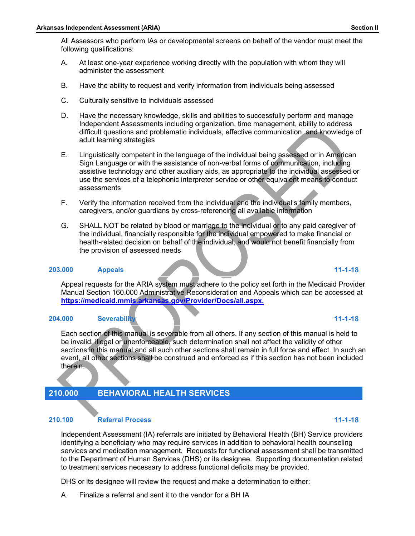All Assessors who perform IAs or developmental screens on behalf of the vendor must meet the following qualifications:

- A. At least one-year experience working directly with the population with whom they will administer the assessment
- B. Have the ability to request and verify information from individuals being assessed
- C. Culturally sensitive to individuals assessed
- D. Have the necessary knowledge, skills and abilities to successfully perform and manage Independent Assessments including organization, time management, ability to address difficult questions and problematic individuals, effective communication, and knowledge of adult learning strategies
- E. Linguistically competent in the language of the individual being assessed or in American Sign Language or with the assistance of non-verbal forms of communication, including assistive technology and other auxiliary aids, as appropriate to the individual assessed or use the services of a telephonic interpreter service or other equivalent means to conduct assessments
- F. Verify the information received from the individual and the individual's family members, caregivers, and/or guardians by cross-referencing all available information
- G. SHALL NOT be related by blood or marriage to the individual or to any paid caregiver of the individual, financially responsible for the individual empowered to make financial or health-related decision on behalf of the individual, and would not benefit financially from the provision of assessed needs

### **203.000 Appeals 11-1-18**

Appeal requests for the ARIA system must adhere to the policy set forth in the Medicaid Provider Manual Section 160.000 Administrative Reconsideration and Appeals which can be accessed at **<https://medicaid.mmis.arkansas.gov/Provider/Docs/all.aspx.>**

### **204.000 Severability 11-1-18**

Each section of this manual is severable from all others. If any section of this manual is held to be invalid, illegal or unenforceable, such determination shall not affect the validity of other sections in this manual and all such other sections shall remain in full force and effect. In such an event, all other sections shall be construed and enforced as if this section has not been included therein.

# **210.000 BEHAVIORAL HEALTH SERVICES**

### **210.100 Referral Process 11-1-18**

Independent Assessment (IA) referrals are initiated by Behavioral Health (BH) Service providers identifying a beneficiary who may require services in addition to behavioral health counseling services and medication management. Requests for functional assessment shall be transmitted to the Department of Human Services (DHS) or its designee. Supporting documentation related to treatment services necessary to address functional deficits may be provided.

DHS or its designee will review the request and make a determination to either:

A. Finalize a referral and sent it to the vendor for a BH IA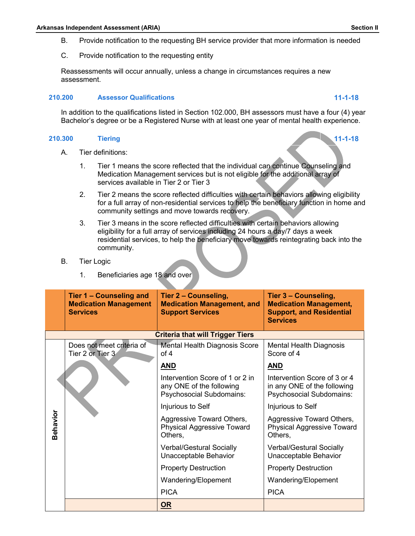- B. Provide notification to the requesting BH service provider that more information is needed
- C. Provide notification to the requesting entity

Reassessments will occur annually, unless a change in circumstances requires a new assessment.

### **210.200 Assessor Qualifications 11-1-18**

In addition to the qualifications listed in Section 102.000, BH assessors must have a four (4) year Bachelor's degree or be a Registered Nurse with at least one year of mental health experience.

### **210.300 Tiering 11-1-18**

- A. Tier definitions:
	- 1. Tier 1 means the score reflected that the individual can continue Counseling and Medication Management services but is not eligible for the additional array of services available in Tier 2 or Tier 3
	- 2. Tier 2 means the score reflected difficulties with certain behaviors allowing eligibility for a full array of non-residential services to help the beneficiary function in home and community settings and move towards recovery.
	- 3. Tier 3 means in the score reflected difficulties with certain behaviors allowing eligibility for a full array of services including 24 hours a day/7 days a week residential services, to help the beneficiary move towards reintegrating back into the community.
- B. Tier Logic
	- 1. Beneficiaries age 18 and over

|          | Tier 1 - Counseling and<br><b>Medication Management</b><br><b>Services</b> | Tier 2 - Counseling,<br><b>Medication Management, and</b><br><b>Support Services</b>           | Tier 3 - Counseling,<br><b>Medication Management,</b><br><b>Support, and Residential</b><br><b>Services</b> |
|----------|----------------------------------------------------------------------------|------------------------------------------------------------------------------------------------|-------------------------------------------------------------------------------------------------------------|
|          |                                                                            | <b>Criteria that will Trigger Tiers</b>                                                        |                                                                                                             |
|          | Does not meet criteria of<br>Tier 2 or Tier 3                              | Mental Health Diagnosis Score<br>of $4$                                                        | Mental Health Diagnosis<br>Score of 4                                                                       |
|          |                                                                            | <b>AND</b>                                                                                     | <b>AND</b>                                                                                                  |
|          |                                                                            | Intervention Score of 1 or 2 in<br>any ONE of the following<br><b>Psychosocial Subdomains:</b> | Intervention Score of 3 or 4<br>in any ONE of the following<br>Psychosocial Subdomains:                     |
|          |                                                                            | Injurious to Self                                                                              | Injurious to Self                                                                                           |
| Behavior |                                                                            | Aggressive Toward Others,<br><b>Physical Aggressive Toward</b><br>Others,                      | Aggressive Toward Others,<br>Physical Aggressive Toward<br>Others,                                          |
|          |                                                                            | <b>Verbal/Gestural Socially</b><br>Unacceptable Behavior                                       | <b>Verbal/Gestural Socially</b><br>Unacceptable Behavior                                                    |
|          |                                                                            | <b>Property Destruction</b>                                                                    | <b>Property Destruction</b>                                                                                 |
|          |                                                                            | Wandering/Elopement                                                                            | Wandering/Elopement                                                                                         |
|          |                                                                            | <b>PICA</b>                                                                                    | <b>PICA</b>                                                                                                 |
|          |                                                                            | OR                                                                                             |                                                                                                             |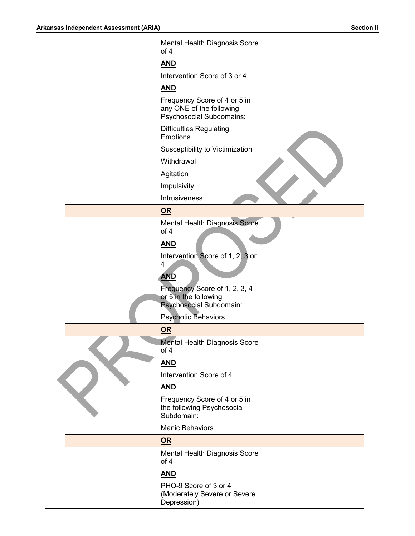| Mental Health Diagnosis Score<br>of 4                                                |  |
|--------------------------------------------------------------------------------------|--|
| <b>AND</b>                                                                           |  |
| Intervention Score of 3 or 4                                                         |  |
| <b>AND</b>                                                                           |  |
| Frequency Score of 4 or 5 in<br>any ONE of the following<br>Psychosocial Subdomains: |  |
| <b>Difficulties Regulating</b><br><b>Emotions</b>                                    |  |
| Susceptibility to Victimization                                                      |  |
| Withdrawal                                                                           |  |
| Agitation                                                                            |  |
| Impulsivity                                                                          |  |
| Intrusiveness                                                                        |  |
| OR                                                                                   |  |
| <b>Mental Health Diagnosis Score</b>                                                 |  |
| of 4                                                                                 |  |
| <b>AND</b>                                                                           |  |
| Intervention Score of 1, 2, 3 or<br>4                                                |  |
| <b>AND</b>                                                                           |  |
| Frequency Score of 1, 2, 3, 4                                                        |  |
| or 5 in the following                                                                |  |
| <b>Psychosocial Subdomain:</b>                                                       |  |
| <b>Psychotic Behaviors</b>                                                           |  |
| $OR$                                                                                 |  |
| <b>Mental Health Diagnosis Score</b><br>of 4                                         |  |
| <b>AND</b>                                                                           |  |
| Intervention Score of 4                                                              |  |
| <b>AND</b>                                                                           |  |
| Frequency Score of 4 or 5 in<br>the following Psychosocial<br>Subdomain:             |  |
| <b>Manic Behaviors</b>                                                               |  |
| OR                                                                                   |  |
| Mental Health Diagnosis Score<br>of 4                                                |  |
| <u>AND</u>                                                                           |  |
| PHQ-9 Score of 3 or 4                                                                |  |
| (Moderately Severe or Severe<br>Depression)                                          |  |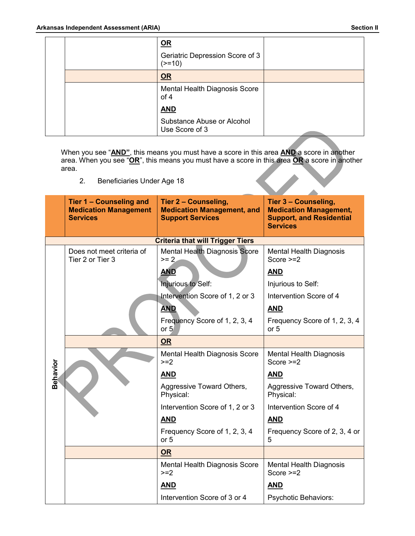Â

|  | $OR$                                         |  |
|--|----------------------------------------------|--|
|  | Geriatric Depression Score of 3<br>$(>=10)$  |  |
|  | OR                                           |  |
|  | Mental Health Diagnosis Score<br>of 4        |  |
|  | <b>AND</b>                                   |  |
|  | Substance Abuse or Alcohol<br>Use Score of 3 |  |

When you see "**AND"**, this means you must have a score in this area **AND** a score in another area. When you see "**OR**", this means you must have a score in this area **OR** a score in another area. 

2. Beneficiaries Under Age 18

|          | Tier 1 - Counseling and<br><b>Medication Management</b><br><b>Services</b> | Tier 2 - Counseling,<br><b>Medication Management, and</b><br><b>Support Services</b> | Tier 3 - Counseling,<br><b>Medication Management,</b><br><b>Support, and Residential</b><br><b>Services</b> |
|----------|----------------------------------------------------------------------------|--------------------------------------------------------------------------------------|-------------------------------------------------------------------------------------------------------------|
|          |                                                                            | <b>Criteria that will Trigger Tiers</b>                                              |                                                                                                             |
|          | Does not meet criteria of<br>Tier 2 or Tier 3                              | <b>Mental Health Diagnosis Score</b><br>$>= 2$                                       | <b>Mental Health Diagnosis</b><br>Score $>=2$                                                               |
|          |                                                                            | <b>AND</b>                                                                           | <b>AND</b>                                                                                                  |
|          |                                                                            | Injurious to Self:                                                                   | Injurious to Self:                                                                                          |
|          |                                                                            | Intervention Score of 1, 2 or 3                                                      | Intervention Score of 4                                                                                     |
|          |                                                                            | <b>AND</b>                                                                           | <b>AND</b>                                                                                                  |
|          |                                                                            | Frequency Score of 1, 2, 3, 4<br>or 5                                                | Frequency Score of 1, 2, 3, 4<br>or 5                                                                       |
|          |                                                                            | OR                                                                                   |                                                                                                             |
|          |                                                                            | Mental Health Diagnosis Score<br>$>=2$                                               | Mental Health Diagnosis<br>Score $>=2$                                                                      |
| Behavior |                                                                            | <b>AND</b>                                                                           | <b>AND</b>                                                                                                  |
|          |                                                                            | Aggressive Toward Others,<br>Physical:                                               | Aggressive Toward Others,<br>Physical:                                                                      |
|          |                                                                            | Intervention Score of 1, 2 or 3                                                      | Intervention Score of 4                                                                                     |
|          |                                                                            | <b>AND</b>                                                                           | <b>AND</b>                                                                                                  |
|          |                                                                            | Frequency Score of 1, 2, 3, 4<br>or 5                                                | Frequency Score of 2, 3, 4 or<br>5                                                                          |
|          |                                                                            | <b>OR</b>                                                                            |                                                                                                             |
|          |                                                                            | Mental Health Diagnosis Score<br>$>=2$                                               | <b>Mental Health Diagnosis</b><br>Score $>=2$                                                               |
|          |                                                                            | <b>AND</b>                                                                           | <b>AND</b>                                                                                                  |
|          |                                                                            | Intervention Score of 3 or 4                                                         | Psychotic Behaviors:                                                                                        |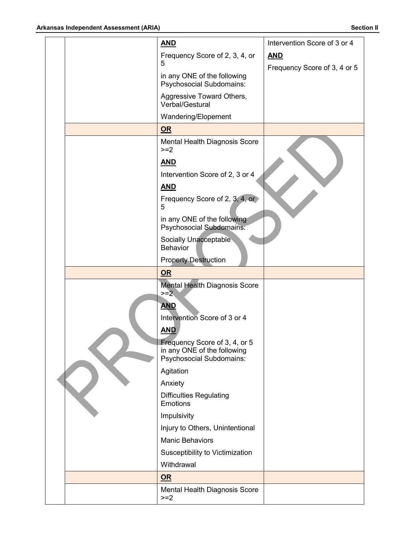|  | <b>AND</b>                                                                               | Intervention Score of 3 or 4 |
|--|------------------------------------------------------------------------------------------|------------------------------|
|  | Frequency Score of 2, 3, 4, or                                                           | <b>AND</b>                   |
|  | 5                                                                                        | Frequency Score of 3, 4 or 5 |
|  | in any ONE of the following<br><b>Psychosocial Subdomains:</b>                           |                              |
|  | Aggressive Toward Others,<br>Verbal/Gestural                                             |                              |
|  | Wandering/Elopement                                                                      |                              |
|  | OR                                                                                       |                              |
|  | Mental Health Diagnosis Score<br>$>=2$                                                   |                              |
|  | <b>AND</b>                                                                               |                              |
|  | Intervention Score of 2, 3 or 4                                                          |                              |
|  | <b>AND</b>                                                                               |                              |
|  | Frequency Score of 2, 3, 4, or<br>5                                                      |                              |
|  | in any ONE of the following<br><b>Psychosocial Subdomains:</b>                           |                              |
|  | Socially Unacceptable<br><b>Behavior</b>                                                 |                              |
|  | <b>Property Destruction</b>                                                              |                              |
|  |                                                                                          |                              |
|  | <b>OR</b>                                                                                |                              |
|  | <b>Mental Health Diagnosis Score</b>                                                     |                              |
|  | $>= 2$                                                                                   |                              |
|  | <b>AND</b>                                                                               |                              |
|  | Intervention Score of 3 or 4                                                             |                              |
|  | <b>AND</b>                                                                               |                              |
|  | Frequency Score of 3, 4, or 5<br>in any ONE of the following<br>Psychosocial Subdomains: |                              |
|  | Agitation                                                                                |                              |
|  | Anxiety                                                                                  |                              |
|  | <b>Difficulties Regulating</b><br><b>Emotions</b>                                        |                              |
|  | Impulsivity                                                                              |                              |
|  | Injury to Others, Unintentional                                                          |                              |
|  | <b>Manic Behaviors</b>                                                                   |                              |
|  | Susceptibility to Victimization                                                          |                              |
|  | Withdrawal                                                                               |                              |
|  | OR                                                                                       |                              |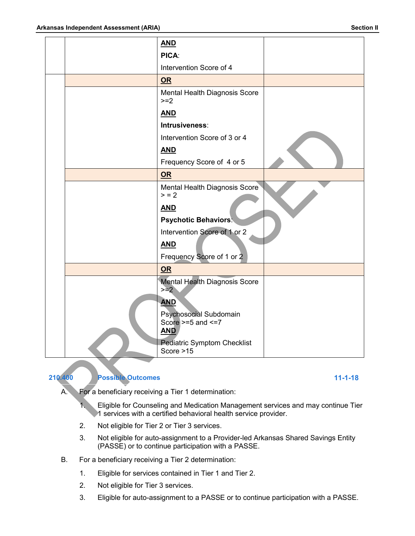|  | <b>AND</b>                                                    |  |
|--|---------------------------------------------------------------|--|
|  | PICA:                                                         |  |
|  | Intervention Score of 4                                       |  |
|  | OR                                                            |  |
|  | Mental Health Diagnosis Score<br>$>=2$                        |  |
|  | <b>AND</b>                                                    |  |
|  | Intrusiveness:                                                |  |
|  | Intervention Score of 3 or 4                                  |  |
|  | <b>AND</b>                                                    |  |
|  | Frequency Score of 4 or 5                                     |  |
|  | OR                                                            |  |
|  | Mental Health Diagnosis Score<br>> 2                          |  |
|  | <b>AND</b>                                                    |  |
|  | <b>Psychotic Behaviors:</b>                                   |  |
|  | Intervention Score of 1 or 2                                  |  |
|  | <b>AND</b><br>Frequency Score of 1 or 2                       |  |
|  | OR                                                            |  |
|  | <b>Mental Health Diagnosis Score</b><br>$> = 2$               |  |
|  | <b>AND</b>                                                    |  |
|  | Psychosocial Subdomain<br>Score $>=5$ and $<=7$<br><b>AND</b> |  |
|  | <b>Pediatric Symptom Checklist</b><br>Score >15               |  |



### **210.400 Possible Outcomes 11-1-18**

A. For a beneficiary receiving a Tier 1 determination:

1. Eligible for Counseling and Medication Management services and may continue Tier 1 services with a certified behavioral health service provider.

- 2. Not eligible for Tier 2 or Tier 3 services.
- 3. Not eligible for auto-assignment to a Provider-led Arkansas Shared Savings Entity (PASSE) or to continue participation with a PASSE.
- B. For a beneficiary receiving a Tier 2 determination:
	- 1. Eligible for services contained in Tier 1 and Tier 2.
	- 2. Not eligible for Tier 3 services.
	- 3. Eligible for auto-assignment to a PASSE or to continue participation with a PASSE.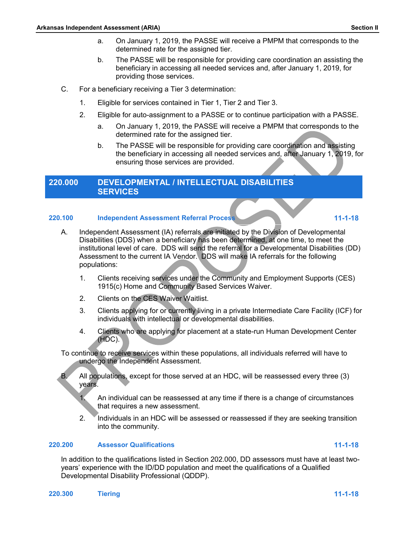- a. On January 1, 2019, the PASSE will receive a PMPM that corresponds to the determined rate for the assigned tier.
- b. The PASSE will be responsible for providing care coordination an assisting the beneficiary in accessing all needed services and, after January 1, 2019, for providing those services.
- C. For a beneficiary receiving a Tier 3 determination:
	- 1. Eligible for services contained in Tier 1, Tier 2 and Tier 3.
	- 2. Eligible for auto-assignment to a PASSE or to continue participation with a PASSE.
		- a. On January 1, 2019, the PASSE will receive a PMPM that corresponds to the determined rate for the assigned tier.
		- b. The PASSE will be responsible for providing care coordination and assisting the beneficiary in accessing all needed services and, after January 1, 2019, for ensuring those services are provided.

### **220.000 DEVELOPMENTAL / INTELLECTUAL DISABILITIES SERVICES**

### **220.100 Independent Assessment Referral Process 11-1-18**

- A. Independent Assessment (IA) referrals are initiated by the Division of Developmental Disabilities (DDS) when a beneficiary has been determined, at one time, to meet the institutional level of care. DDS will send the referral for a Developmental Disabilities (DD) Assessment to the current IA Vendor. DDS will make IA referrals for the following populations:
	- 1. Clients receiving services under the Community and Employment Supports (CES) 1915(c) Home and Community Based Services Waiver.
	- 2. Clients on the CES Waiver Waitlist.
	- 3. Clients applying for or currently living in a private Intermediate Care Facility (ICF) for individuals with intellectual or developmental disabilities.
	- 4. Clients who are applying for placement at a state-run Human Development Center  $(HDC)$ .

To continue to receive services within these populations, all individuals referred will have to undergo the Independent Assessment.

B. All populations, except for those served at an HDC, will be reassessed every three (3) years.

1. An individual can be reassessed at any time if there is a change of circumstances that requires a new assessment.

2. Individuals in an HDC will be assessed or reassessed if they are seeking transition into the community.

### **220.200 Assessor Qualifications 11-1-18**

In addition to the qualifications listed in Section 202.000, DD assessors must have at least twoyears' experience with the ID/DD population and meet the qualifications of a Qualified Developmental Disability Professional (QDDP).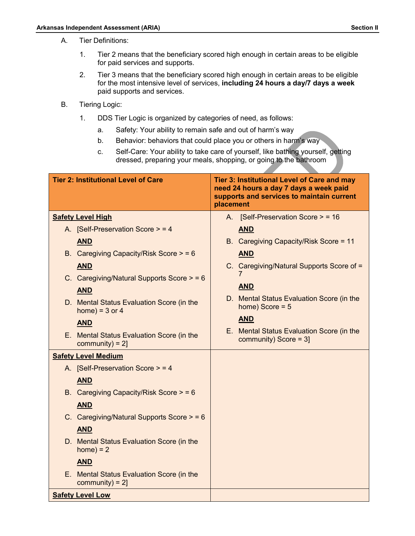- A. Tier Definitions:
	- 1. Tier 2 means that the beneficiary scored high enough in certain areas to be eligible for paid services and supports.
	- 2. Tier 3 means that the beneficiary scored high enough in certain areas to be eligible for the most intensive level of services, **including 24 hours a day/7 days a week** paid supports and services.
- B. Tiering Logic:
	- 1. DDS Tier Logic is organized by categories of need, as follows:
		- a. Safety: Your ability to remain safe and out of harm's way
		- b. Behavior: behaviors that could place you or others in harm's way
		- c. Self-Care: Your ability to take care of yourself, like bathing yourself, getting dressed, preparing your meals, shopping, or going to the bathroom

| <b>Tier 2: Institutional Level of Care</b>                      | Tier 3: Institutional Level of Care and may<br>need 24 hours a day 7 days a week paid<br>supports and services to maintain current<br>placement |
|-----------------------------------------------------------------|-------------------------------------------------------------------------------------------------------------------------------------------------|
| <b>Safety Level High</b>                                        | A. [Self-Preservation Score > = 16                                                                                                              |
| A. [Self-Preservation Score > = 4                               | <b>AND</b>                                                                                                                                      |
| <b>AND</b>                                                      | B. Caregiving Capacity/Risk Score = 11                                                                                                          |
| B. Caregiving Capacity/Risk Score $> 56$                        | <b>AND</b>                                                                                                                                      |
| <b>AND</b>                                                      | C. Caregiving/Natural Supports Score of =                                                                                                       |
| C. Caregiving/Natural Supports Score $>$ = 6                    |                                                                                                                                                 |
| <b>AND</b>                                                      | <b>AND</b>                                                                                                                                      |
| D. Mental Status Evaluation Score (in the<br>home) = $3$ or $4$ | D. Mental Status Evaluation Score (in the<br>home) Score = $5$                                                                                  |
| <b>AND</b>                                                      | <b>AND</b>                                                                                                                                      |
| E. Mental Status Evaluation Score (in the<br>community) = $2$ ] | E. Mental Status Evaluation Score (in the<br>community) Score = $3$ ]                                                                           |
| <b>Safety Level Medium</b>                                      |                                                                                                                                                 |
| A. [Self-Preservation Score > = 4                               |                                                                                                                                                 |
| <b>AND</b>                                                      |                                                                                                                                                 |
| B. Caregiving Capacity/Risk Score $> 56$                        |                                                                                                                                                 |
| <b>AND</b>                                                      |                                                                                                                                                 |
| C. Caregiving/Natural Supports Score $>$ = 6                    |                                                                                                                                                 |
| <b>AND</b>                                                      |                                                                                                                                                 |
| D. Mental Status Evaluation Score (in the<br>$home) = 2$        |                                                                                                                                                 |
| <b>AND</b>                                                      |                                                                                                                                                 |
| E. Mental Status Evaluation Score (in the<br>community) = $2$ ] |                                                                                                                                                 |
| <b>Safety Level Low</b>                                         |                                                                                                                                                 |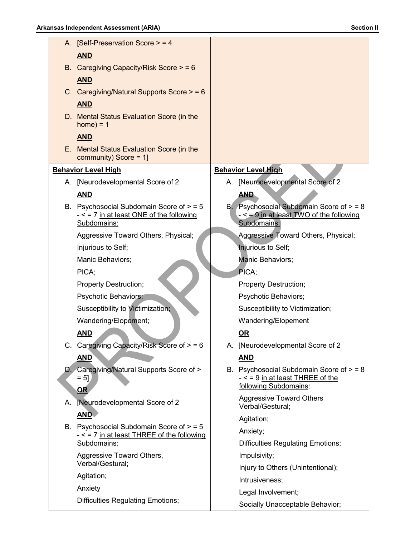|    | A. [Self-Preservation Score $>$ = 4                                                                     |                                                                                                           |
|----|---------------------------------------------------------------------------------------------------------|-----------------------------------------------------------------------------------------------------------|
|    | <b>AND</b>                                                                                              |                                                                                                           |
|    | B. Caregiving Capacity/Risk Score $> 56$                                                                |                                                                                                           |
|    | <b>AND</b>                                                                                              |                                                                                                           |
|    | C. Caregiving/Natural Supports Score $>$ = 6                                                            |                                                                                                           |
|    | <b>AND</b>                                                                                              |                                                                                                           |
|    | D. Mental Status Evaluation Score (in the<br>$home) = 1$                                                |                                                                                                           |
|    | <b>AND</b>                                                                                              |                                                                                                           |
|    | E. Mental Status Evaluation Score (in the<br>community) Score = $1$ ]                                   |                                                                                                           |
|    | <b>Behavior Level High</b>                                                                              | <b>Behavior Level High</b>                                                                                |
|    | A. [Neurodevelopmental Score of 2                                                                       | A. [Neurodevelopmental Score of 2                                                                         |
|    | <b>AND</b>                                                                                              | <b>AND</b>                                                                                                |
|    | B. Psychosocial Subdomain Score of $>$ = 5<br>$-$ < = 7 in at least ONE of the following<br>Subdomains: | B. Psychosocial Subdomain Score of $>$ = 8<br>- < = 9 in at least TWO of the following<br>Subdomains:     |
|    | Aggressive Toward Others, Physical;                                                                     | Aggressive Toward Others, Physical;                                                                       |
|    | Injurious to Self;                                                                                      | Injurious to Self;                                                                                        |
|    | Manic Behaviors;                                                                                        | Manic Behaviors;                                                                                          |
|    | PICA;                                                                                                   | PICA;                                                                                                     |
|    | Property Destruction;                                                                                   | <b>Property Destruction;</b>                                                                              |
|    | Psychotic Behaviors;                                                                                    | Psychotic Behaviors;                                                                                      |
|    | Susceptibility to Victimization;                                                                        | Susceptibility to Victimization;                                                                          |
|    | Wandering/Elopement;                                                                                    | Wandering/Elopement                                                                                       |
|    | <b>AND</b>                                                                                              | <u>OR</u>                                                                                                 |
|    | C. Caregiving Capacity/Risk Score of $> 56$                                                             | A. [Neurodevelopmental Score of 2                                                                         |
|    | <u>AND</u>                                                                                              | <b>AND</b>                                                                                                |
|    | D. Caregiving/Natural Supports Score of ><br>$= 5$ ]<br>OR                                              | B. Psychosocial Subdomain Score of $>$ = 8<br>$-$ < = 9 in at least THREE of the<br>following Subdomains: |
| А. | [Neurodevelopmental Score of 2                                                                          | <b>Aggressive Toward Others</b><br>Verbal/Gestural;                                                       |
|    | <u>AND</u>                                                                                              | Agitation;                                                                                                |
|    | B. Psychosocial Subdomain Score of $>$ = 5<br>- < = 7 in at least THREE of the following                | Anxiety;                                                                                                  |
|    | Subdomains:                                                                                             | <b>Difficulties Regulating Emotions;</b>                                                                  |
|    | Aggressive Toward Others,                                                                               | Impulsivity;                                                                                              |
|    | Verbal/Gestural;                                                                                        | Injury to Others (Unintentional);                                                                         |
|    | Agitation;                                                                                              | Intrusiveness;                                                                                            |
|    | Anxiety                                                                                                 | Legal Involvement;                                                                                        |
|    | <b>Difficulties Regulating Emotions;</b>                                                                | Socially Unacceptable Behavior;                                                                           |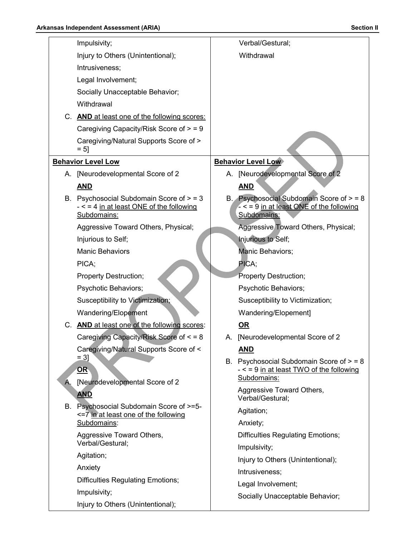|    | Impulsivity;                                                                                            |    | Verbal/Gestural;                                                                                        |
|----|---------------------------------------------------------------------------------------------------------|----|---------------------------------------------------------------------------------------------------------|
|    | Injury to Others (Unintentional);                                                                       |    | Withdrawal                                                                                              |
|    | Intrusiveness;                                                                                          |    |                                                                                                         |
|    | Legal Involvement;                                                                                      |    |                                                                                                         |
|    | Socially Unacceptable Behavior;                                                                         |    |                                                                                                         |
|    | Withdrawal                                                                                              |    |                                                                                                         |
|    | C. AND at least one of the following scores:                                                            |    |                                                                                                         |
|    | Caregiving Capacity/Risk Score of $>$ = 9                                                               |    |                                                                                                         |
|    | Caregiving/Natural Supports Score of ><br>$= 5$ ]                                                       |    |                                                                                                         |
|    | <b>Behavior Level Low</b>                                                                               |    | <b>Behavior Level Low</b>                                                                               |
|    | A. [Neurodevelopmental Score of 2                                                                       |    | A. [Neurodevelopmental Score of 2                                                                       |
|    | <b>AND</b>                                                                                              |    | <b>AND</b>                                                                                              |
|    | B. Psychosocial Subdomain Score of $>$ = 3<br>$-$ < = 4 in at least ONE of the following<br>Subdomains: |    | B. Psychosocial Subdomain Score of $>$ = 8<br>$-$ < = 9 in at least ONE of the following<br>Subdomains: |
|    | Aggressive Toward Others, Physical;                                                                     |    | Aggressive Toward Others, Physical;                                                                     |
|    | Injurious to Self;                                                                                      |    | <b>Injurious to Self;</b>                                                                               |
|    | <b>Manic Behaviors</b>                                                                                  |    | Manic Behaviors;                                                                                        |
|    | PICA;                                                                                                   |    | PICA;                                                                                                   |
|    | Property Destruction;                                                                                   |    | Property Destruction;                                                                                   |
|    | Psychotic Behaviors;                                                                                    |    | Psychotic Behaviors;                                                                                    |
|    | Susceptibility to Victimization;                                                                        |    | Susceptibility to Victimization;                                                                        |
|    | Wandering/Elopement                                                                                     |    | Wandering/Elopement]                                                                                    |
|    | C. AND at least one of the following scores:                                                            |    | <u>OR</u>                                                                                               |
|    | Caregiving Capacity/Risk Score of < = 8                                                                 | A. | [Neurodevelopmental Score of 2                                                                          |
|    | Caregiving/Natural Supports Score of <                                                                  |    | <b>AND</b>                                                                                              |
| Α. | $= 3$ ]<br>OR<br>[Neurodevelopmental Score of 2                                                         | В. | Psychosocial Subdomain Score of > = 8<br>$-$ < = 9 in at least TWO of the following<br>Subdomains:      |
|    | <b>AND</b>                                                                                              |    | Aggressive Toward Others,                                                                               |
|    | B. Psychosocial Subdomain Score of >=5-                                                                 |    | Verbal/Gestural;                                                                                        |
|    | <= 7 in at least one of the following                                                                   |    | Agitation;                                                                                              |
|    | Subdomains:                                                                                             |    | Anxiety;                                                                                                |
|    | Aggressive Toward Others,<br>Verbal/Gestural;                                                           |    | <b>Difficulties Regulating Emotions;</b>                                                                |
|    |                                                                                                         |    | Impulsivity;                                                                                            |
|    | Agitation;                                                                                              |    | Injury to Others (Unintentional);                                                                       |
|    | Anxiety                                                                                                 |    | Intrusiveness;                                                                                          |
|    | <b>Difficulties Regulating Emotions;</b>                                                                |    | Legal Involvement;                                                                                      |
|    | Impulsivity;                                                                                            |    | Socially Unacceptable Behavior;                                                                         |
|    | Injury to Others (Unintentional);                                                                       |    |                                                                                                         |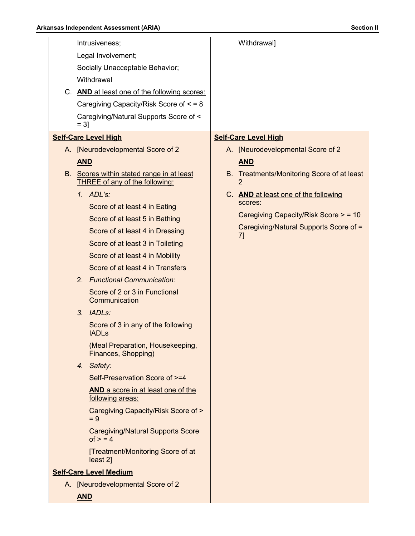| Intrusiveness;                                                | Withdrawal]                                  |
|---------------------------------------------------------------|----------------------------------------------|
| Legal Involvement;                                            |                                              |
| Socially Unacceptable Behavior;                               |                                              |
| Withdrawal                                                    |                                              |
| C. AND at least one of the following scores:                  |                                              |
| Caregiving Capacity/Risk Score of $\leq$ = 8                  |                                              |
| Caregiving/Natural Supports Score of <<br>$= 31$              |                                              |
| <b>Self-Care Level High</b>                                   | <b>Self-Care Level High</b>                  |
| A. [Neurodevelopmental Score of 2                             | A. [Neurodevelopmental Score of 2            |
| <b>AND</b>                                                    | <b>AND</b>                                   |
| B. Scores within stated range in at least                     | B. Treatments/Monitoring Score of at least   |
| <b>THREE of any of the following:</b>                         | $\overline{2}$                               |
| 1. $ADL's$ :                                                  | C. AND at least one of the following         |
| Score of at least 4 in Eating                                 | scores:                                      |
| Score of at least 5 in Bathing                                | Caregiving Capacity/Risk Score > = 10        |
| Score of at least 4 in Dressing                               | Caregiving/Natural Supports Score of =<br>7] |
| Score of at least 3 in Toileting                              |                                              |
| Score of at least 4 in Mobility                               |                                              |
| Score of at least 4 in Transfers                              |                                              |
| 2. Functional Communication:                                  |                                              |
| Score of 2 or 3 in Functional<br>Communication                |                                              |
| 3. IADLs:                                                     |                                              |
| Score of 3 in any of the following<br><b>IADLs</b>            |                                              |
| (Meal Preparation, Housekeeping,<br>Finances, Shopping)       |                                              |
| 4. Safety:                                                    |                                              |
| Self-Preservation Score of >=4                                |                                              |
| <b>AND</b> a score in at least one of the<br>following areas: |                                              |
| Caregiving Capacity/Risk Score of ><br>$= 9$                  |                                              |
| <b>Caregiving/Natural Supports Score</b><br>of $>$ = 4        |                                              |
| [Treatment/Monitoring Score of at<br>least 2]                 |                                              |
| <b>Self-Care Level Medium</b>                                 |                                              |
| A. [Neurodevelopmental Score of 2                             |                                              |
| <b>AND</b>                                                    |                                              |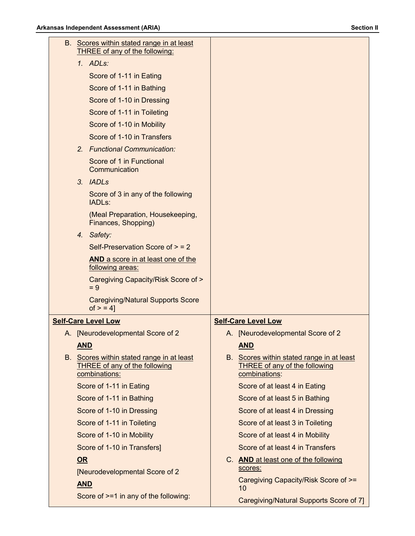| B. Scores within stated range in at least<br>THREE of any of the following:                        |                                                                                             |
|----------------------------------------------------------------------------------------------------|---------------------------------------------------------------------------------------------|
| 1. ADLs:                                                                                           |                                                                                             |
| Score of 1-11 in Eating                                                                            |                                                                                             |
| Score of 1-11 in Bathing                                                                           |                                                                                             |
| Score of 1-10 in Dressing                                                                          |                                                                                             |
| Score of 1-11 in Toileting                                                                         |                                                                                             |
| Score of 1-10 in Mobility                                                                          |                                                                                             |
| Score of 1-10 in Transfers                                                                         |                                                                                             |
| 2. Functional Communication:                                                                       |                                                                                             |
| Score of 1 in Functional<br>Communication                                                          |                                                                                             |
| 3. IADLs                                                                                           |                                                                                             |
| Score of 3 in any of the following<br>IADL <sub>s</sub> :                                          |                                                                                             |
| (Meal Preparation, Housekeeping,<br>Finances, Shopping)                                            |                                                                                             |
| 4. Safety:                                                                                         |                                                                                             |
| Self-Preservation Score of $>$ = 2                                                                 |                                                                                             |
| AND a score in at least one of the<br>following areas:                                             |                                                                                             |
| Caregiving Capacity/Risk Score of ><br>$= 9$                                                       |                                                                                             |
| <b>Caregiving/Natural Supports Score</b><br>$of > 4$ ]                                             |                                                                                             |
| <b>Self-Care Level Low</b>                                                                         | <b>Self-Care Level Low</b>                                                                  |
| A. [Neurodevelopmental Score of 2                                                                  | A. [Neurodevelopmental Score of 2                                                           |
| <b>AND</b>                                                                                         | <b>AND</b>                                                                                  |
| B. Scores within stated range in at least<br><b>THREE of any of the following</b><br>combinations: | B. Scores within stated range in at least<br>THREE of any of the following<br>combinations: |
| Score of 1-11 in Eating                                                                            | Score of at least 4 in Eating                                                               |
| Score of 1-11 in Bathing                                                                           | Score of at least 5 in Bathing                                                              |
| Score of 1-10 in Dressing                                                                          | Score of at least 4 in Dressing                                                             |
| Score of 1-11 in Toileting                                                                         | Score of at least 3 in Toileting                                                            |
| Score of 1-10 in Mobility                                                                          | Score of at least 4 in Mobility                                                             |
| Score of 1-10 in Transfers]                                                                        | Score of at least 4 in Transfers                                                            |
| <b>OR</b>                                                                                          | C. AND at least one of the following                                                        |
| [Neurodevelopmental Score of 2                                                                     | scores:                                                                                     |
| <b>AND</b>                                                                                         | Caregiving Capacity/Risk Score of >=<br>10                                                  |
| Score of >=1 in any of the following:                                                              | Caregiving/Natural Supports Score of 7]                                                     |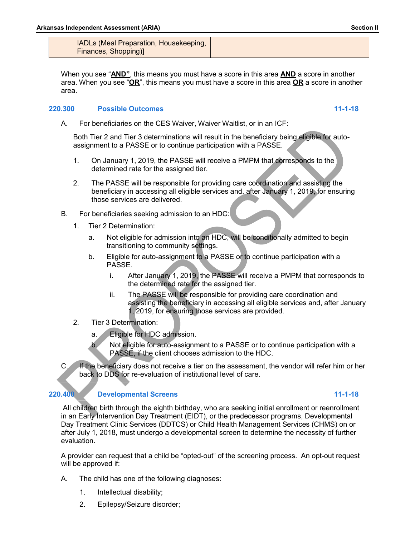IADLs (Meal Preparation, Housekeeping, Finances, Shopping)]

When you see "**AND"**, this means you must have a score in this area **AND** a score in another area. When you see "**OR**", this means you must have a score in this area **OR** a score in another area.

### **220.300 Possible Outcomes 11-1-18**

A. For beneficiaries on the CES Waiver, Waiver Waitlist, or in an ICF:

Both Tier 2 and Tier 3 determinations will result in the beneficiary being eligible for autoassignment to a PASSE or to continue participation with a PASSE.

- 1. On January 1, 2019, the PASSE will receive a PMPM that corresponds to the determined rate for the assigned tier.
- 2. The PASSE will be responsible for providing care coordination and assisting the beneficiary in accessing all eligible services and, after January 1, 2019, for ensuring those services are delivered.
- B. For beneficiaries seeking admission to an HDC:
	- 1. Tier 2 Determination:
		- a. Not eligible for admission into an HDC, will be conditionally admitted to begin transitioning to community settings.
		- b. Eligible for auto-assignment to a PASSE or to continue participation with a PASSE.
			- i. After January 1, 2019, the PASSE will receive a PMPM that corresponds to the determined rate for the assigned tier.
			- ii. The PASSE will be responsible for providing care coordination and assisting the beneficiary in accessing all eligible services and, after January 1, 2019, for ensuring those services are provided.
	- 2. Tier 3 Determination:
		- a. Eligible for HDC admission.
		- b. Not eligible for auto-assignment to a PASSE or to continue participation with a PASSE, if the client chooses admission to the HDC.
- C. If the beneficiary does not receive a tier on the assessment, the vendor will refer him or her back to DDS for re-evaluation of institutional level of care.

### **220.400 Developmental Screens 11-1-18**

All children birth through the eighth birthday, who are seeking initial enrollment or reenrollment in an Early Intervention Day Treatment (EIDT), or the predecessor programs, Developmental Day Treatment Clinic Services (DDTCS) or Child Health Management Services (CHMS) on or after July 1, 2018, must undergo a developmental screen to determine the necessity of further evaluation.

A provider can request that a child be "opted-out" of the screening process. An opt-out request will be approved if:

- A. The child has one of the following diagnoses:
	- 1. Intellectual disability;
	- 2. Epilepsy/Seizure disorder;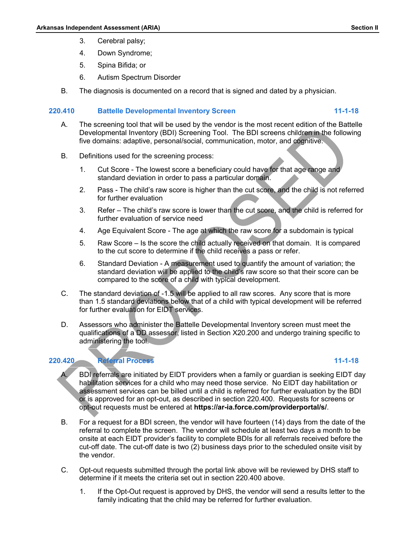- 3. Cerebral palsy;
- 4. Down Syndrome;
- 5. Spina Bifida; or
- 6. Autism Spectrum Disorder
- B. The diagnosis is documented on a record that is signed and dated by a physician.

### **220.410 Battelle Developmental Inventory Screen 11-1-18**

- A. The screening tool that will be used by the vendor is the most recent edition of the Battelle Developmental Inventory (BDI) Screening Tool. The BDI screens children in the following five domains: adaptive, personal/social, communication, motor, and cognitive.
- B. Definitions used for the screening process:
	- 1. Cut Score The lowest score a beneficiary could have for that age range and standard deviation in order to pass a particular domain.
	- 2. Pass The child's raw score is higher than the cut score, and the child is not referred for further evaluation
	- 3. Refer The child's raw score is lower than the cut score, and the child is referred for further evaluation of service need
	- 4. Age Equivalent Score The age at which the raw score for a subdomain is typical
	- 5. Raw Score Is the score the child actually received on that domain. It is compared to the cut score to determine if the child receives a pass or refer.
	- 6. Standard Deviation A measurement used to quantify the amount of variation; the standard deviation will be applied to the child's raw score so that their score can be compared to the score of a child with typical development.
- C. The standard deviation of -1.5 will be applied to all raw scores. Any score that is more than 1.5 standard deviations below that of a child with typical development will be referred for further evaluation for EIDT services.
- D. Assessors who administer the Battelle Developmental Inventory screen must meet the qualifications of a DD assessor, listed in Section X20.200 and undergo training specific to administering the tool.

# **220.420 Referral Process 11-1-18**

- BDI referrals are initiated by EIDT providers when a family or guardian is seeking EIDT day habilitation services for a child who may need those service. No EIDT day habilitation or assessment services can be billed until a child is referred for further evaluation by the BDI or is approved for an opt-out, as described in section 220.400. Requests for screens or opt-out requests must be entered at **<https://ar-ia.force.com/providerportal/s/>**.
- B. For a request for a BDI screen, the vendor will have fourteen (14) days from the date of the referral to complete the screen. The vendor will schedule at least two days a month to be onsite at each EIDT provider's facility to complete BDIs for all referrals received before the cut-off date. The cut-off date is two (2) business days prior to the scheduled onsite visit by the vendor.
- C. Opt-out requests submitted through the portal link above will be reviewed by DHS staff to determine if it meets the criteria set out in section 220.400 above.
	- 1. If the Opt-Out request is approved by DHS, the vendor will send a results letter to the family indicating that the child may be referred for further evaluation.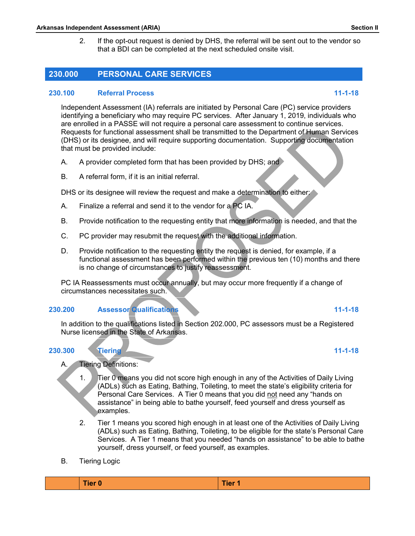2. If the opt-out request is denied by DHS, the referral will be sent out to the vendor so that a BDI can be completed at the next scheduled onsite visit.

# **230.000 PERSONAL CARE SERVICES**

### **230.100 Referral Process 11-1-18**

Independent Assessment (IA) referrals are initiated by Personal Care (PC) service providers identifying a beneficiary who may require PC services. After January 1, 2019, individuals who are enrolled in a PASSE will not require a personal care assessment to continue services. Requests for functional assessment shall be transmitted to the Department of Human Services (DHS) or its designee, and will require supporting documentation. Supporting documentation that must be provided include:

- A. A provider completed form that has been provided by DHS; and
- B. A referral form, if it is an initial referral.

DHS or its designee will review the request and make a determination to either:

- A. Finalize a referral and send it to the vendor for a PC IA.
- B. Provide notification to the requesting entity that more information is needed, and that the
- C. PC provider may resubmit the request with the additional information.
- D. Provide notification to the requesting entity the request is denied, for example, if a functional assessment has been performed within the previous ten (10) months and there is no change of circumstances to justify reassessment.

PC IA Reassessments must occur annually, but may occur more frequently if a change of circumstances necessitates such.

# **230.200 Assessor Qualifications 11-1-18**

In addition to the qualifications listed in Section 202.000, PC assessors must be a Registered Nurse licensed in the State of Arkansas.

- A. Tiering Definitions:
	- 1. Tier 0 means you did not score high enough in any of the Activities of Daily Living (ADLs) such as Eating, Bathing, Toileting, to meet the state's eligibility criteria for Personal Care Services. A Tier 0 means that you did not need any "hands on assistance" in being able to bathe yourself, feed yourself and dress yourself as examples.
	- 2. Tier 1 means you scored high enough in at least one of the Activities of Daily Living (ADLs) such as Eating, Bathing, Toileting, to be eligible for the state's Personal Care Services. A Tier 1 means that you needed "hands on assistance" to be able to bathe yourself, dress yourself, or feed yourself, as examples.
- B. Tiering Logic

| Tier 0<br>Tier 1 |
|------------------|
|------------------|

# **230.300 Tiering 11-1-18**